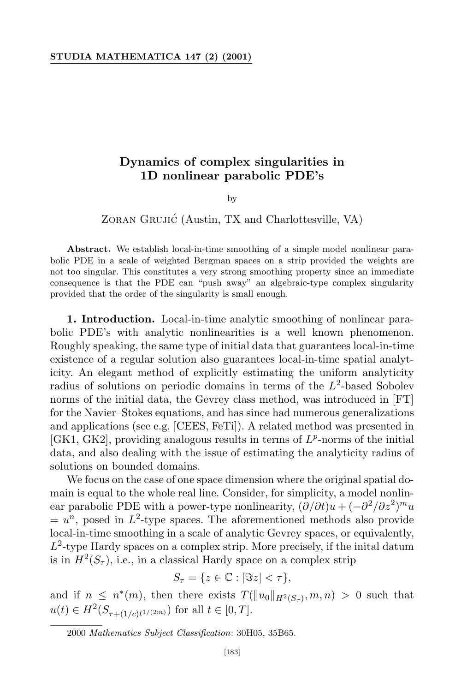## **Dynamics of complex singularities in 1D nonlinear parabolic PDE's**

by

ZORAN GRUJIĆ (Austin, TX and Charlottesville, VA)

**Abstract.** We establish local-in-time smoothing of a simple model nonlinear parabolic PDE in a scale of weighted Bergman spaces on a strip provided the weights are not too singular. This constitutes a very strong smoothing property since an immediate consequence is that the PDE can "push away" an algebraic-type complex singularity provided that the order of the singularity is small enough.

**1. Introduction.** Local-in-time analytic smoothing of nonlinear parabolic PDE's with analytic nonlinearities is a well known phenomenon. Roughly speaking, the same type of initial data that guarantees local-in-time existence of a regular solution also guarantees local-in-time spatial analyticity. An elegant method of explicitly estimating the uniform analyticity radius of solutions on periodic domains in terms of the  $L^2$ -based Sobolev norms of the initial data, the Gevrey class method, was introduced in [FT] for the Navier–Stokes equations, and has since had numerous generalizations and applications (see e.g. [CEES, FeTi]). A related method was presented in [GK1, GK2], providing analogous results in terms of *L p* -norms of the initial data, and also dealing with the issue of estimating the analyticity radius of solutions on bounded domains.

We focus on the case of one space dimension where the original spatial domain is equal to the whole real line. Consider, for simplicity, a model nonlinear parabolic PDE with a power-type nonlinearity,  $(\partial/\partial t)u + (-\partial^2/\partial z^2)^m u$  $= u^n$ , posed in  $L^2$ -type spaces. The aforementioned methods also provide local-in-time smoothing in a scale of analytic Gevrey spaces, or equivalently, *L* 2 -type Hardy spaces on a complex strip. More precisely, if the inital datum is in  $H^2(S_\tau)$ , i.e., in a classical Hardy space on a complex strip

$$
S_{\tau} = \{ z \in \mathbb{C} : |\Im z| < \tau \},\
$$

and if  $n \leq n^*(m)$ , then there exists  $T(\|u_0\|_{H^2(S_{\tau})}, m, n) > 0$  such that  $u(t) \in H^2(S_{\tau+(1/c)t^{1/(2m)}})$  for all  $t \in [0, T]$ .

<sup>2000</sup> *Mathematics Subject Classification*: 30H05, 35B65.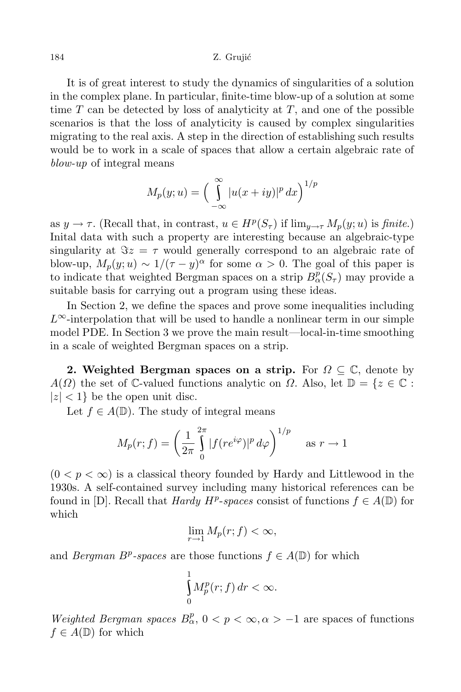It is of great interest to study the dynamics of singularities of a solution in the complex plane. In particular, finite-time blow-up of a solution at some time *T* can be detected by loss of analyticity at *T*, and one of the possible scenarios is that the loss of analyticity is caused by complex singularities migrating to the real axis. A step in the direction of establishing such results would be to work in a scale of spaces that allow a certain algebraic rate of *blow-up* of integral means

$$
M_p(y;u) = \left(\int_{-\infty}^{\infty} |u(x+iy)|^p dx\right)^{1/p}
$$

as  $y \to \tau$ . (Recall that, in contrast,  $u \in H^p(S_\tau)$  if  $\lim_{y \to \tau} M_p(y; u)$  is *finite*.) Inital data with such a property are interesting because an algebraic-type singularity at  $\Im z = \tau$  would generally correspond to an algebraic rate of blow-up,  $M_p(y; u) \sim 1/(\tau - y)^\alpha$  for some  $\alpha > 0$ . The goal of this paper is to indicate that weighted Bergman spaces on a strip  $B_{\alpha}^{\overline{p}}(S_{\tau})$  may provide a suitable basis for carrying out a program using these ideas.

In Section 2, we define the spaces and prove some inequalities including *L∞*-interpolation that will be used to handle a nonlinear term in our simple model PDE. In Section 3 we prove the main result—local-in-time smoothing in a scale of weighted Bergman spaces on a strip.

**2.** Weighted Bergman spaces on a strip. For  $\Omega \subseteq \mathbb{C}$ , denote by *A*(*Ω*) the set of C-valued functions analytic on *Ω*. Also, let  $\mathbb{D} = \{z \in \mathbb{C} :$  $|z|$  < 1} be the open unit disc.

Let  $f \in A(\mathbb{D})$ . The study of integral means

$$
M_p(r; f) = \left(\frac{1}{2\pi} \int_0^{2\pi} |f(re^{i\varphi})|^p \, d\varphi\right)^{1/p} \quad \text{as } r \to 1
$$

 $(0 < p < \infty)$  is a classical theory founded by Hardy and Littlewood in the 1930s. A self-contained survey including many historical references can be found in [D]. Recall that *Hardy*  $H^p$ -spaces consist of functions  $f \in A(\mathbb{D})$  for which

$$
\lim_{r \to 1} M_p(r;f) < \infty,
$$

and *Bergman*  $B^p$ -spaces are those functions  $f \in A(\mathbb{D})$  for which

$$
\int_{0}^{1} M_{p}^{p}(r; f) dr < \infty.
$$

*Weighted Bergman spaces*  $B_{\alpha}^p$ ,  $0 < p < \infty, \alpha > -1$  are spaces of functions  $f \in A(\mathbb{D})$  for which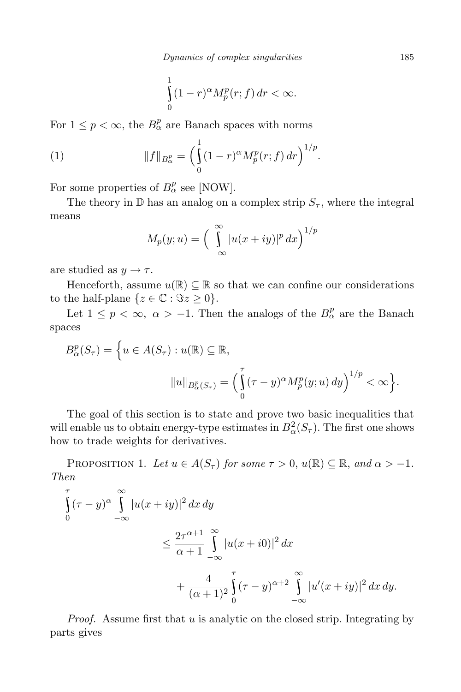$$
\int_{0}^{1} (1-r)^{\alpha} M_{p}^{p}(r; f) dr < \infty.
$$

For  $1 \leq p < \infty$ , the  $B^p_\alpha$  are Banach spaces with norms

(1) 
$$
||f||_{B^p_\alpha} = \left(\int_0^1 (1-r)^\alpha M^p_p(r;f) dr\right)^{1/p}.
$$

For some properties of  $B^p_\alpha$  see [NOW].

The theory in  $\mathbb D$  has an analog on a complex strip  $S_\tau$ , where the integral means

$$
M_p(y; u) = \left(\int_{-\infty}^{\infty} |u(x+iy)|^p dx\right)^{1/p}
$$

are studied as  $y \rightarrow \tau$ .

Henceforth, assume  $u(\mathbb{R}) \subseteq \mathbb{R}$  so that we can confine our considerations to the half-plane  $\{z \in \mathbb{C} : \Im z \geq 0\}.$ 

Let  $1 \leq p < \infty$ ,  $\alpha > -1$ . Then the analogs of the  $B^p_\alpha$  are the Banach spaces

$$
B_{\alpha}^{p}(S_{\tau}) = \left\{ u \in A(S_{\tau}) : u(\mathbb{R}) \subseteq \mathbb{R},
$$

$$
||u||_{B_{\alpha}^{p}(S_{\tau})} = \left( \int_{0}^{\tau} (\tau - y)^{\alpha} M_{p}^{p}(y; u) dy \right)^{1/p} < \infty \right\}.
$$

The goal of this section is to state and prove two basic inequalities that will enable us to obtain energy-type estimates in  $B^2_\alpha(S_\tau)$ . The first one shows how to trade weights for derivatives.

PROPOSITION 1. Let  $u \in A(S_\tau)$  for some  $\tau > 0$ ,  $u(\mathbb{R}) \subseteq \mathbb{R}$ , and  $\alpha > -1$ . *Then*

$$
\int_{0}^{\tau} (\tau - y)^{\alpha} \int_{-\infty}^{\infty} |u(x + iy)|^{2} dx dy
$$
\n
$$
\leq \frac{2\tau^{\alpha+1}}{\alpha+1} \int_{-\infty}^{\infty} |u(x + i0)|^{2} dx
$$
\n
$$
+ \frac{4}{(\alpha+1)^{2}} \int_{0}^{\tau} (\tau - y)^{\alpha+2} \int_{-\infty}^{\infty} |u'(x + iy)|^{2} dx dy.
$$

*Proof.* Assume first that *u* is analytic on the closed strip. Integrating by parts gives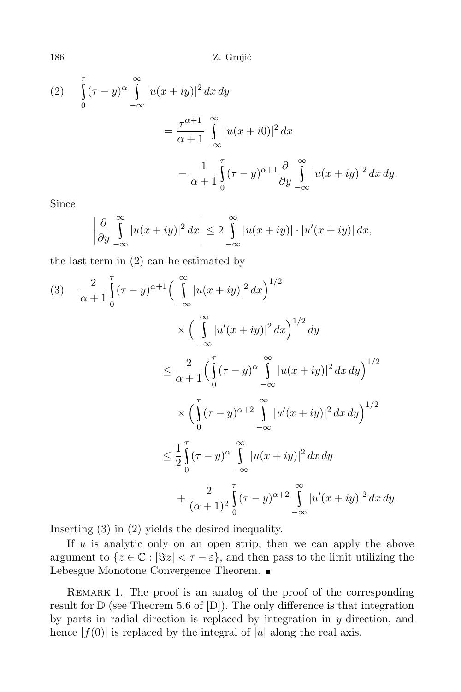186 Z. Grujić

(2) 
$$
\int_{0}^{\tau} (\tau - y)^{\alpha} \int_{-\infty}^{\infty} |u(x + iy)|^{2} dx dy
$$

$$
= \frac{\tau^{\alpha+1}}{\alpha+1} \int_{-\infty}^{\infty} |u(x + i0)|^{2} dx
$$

$$
- \frac{1}{\alpha+1} \int_{0}^{\tau} (\tau - y)^{\alpha+1} \frac{\partial}{\partial y} \int_{-\infty}^{\infty} |u(x + iy)|^{2} dx dy.
$$

Since

$$
\left|\frac{\partial}{\partial y}\int_{-\infty}^{\infty} |u(x+iy)|^2 dx\right| \leq 2 \int_{-\infty}^{\infty} |u(x+iy)| \cdot |u'(x+iy)| dx,
$$

the last term in (2) can be estimated by

$$
(3) \quad \frac{2}{\alpha+1} \int_{0}^{\tau} (\tau - y)^{\alpha+1} \Big( \int_{-\infty}^{\infty} |u(x+iy)|^2 dx \Big)^{1/2} dx
$$
  
\$\times \Big( \int\_{-\infty}^{\infty} |u'(x+iy)|^2 dx \Big)^{1/2} dy\$  
\$\leq \frac{2}{\alpha+1} \Big( \int\_{0}^{\tau} (\tau - y)^{\alpha} \int\_{-\infty}^{\infty} |u(x+iy)|^2 dx dy \Big)^{1/2}\$  
\$\times \Big( \int\_{0}^{\tau} (\tau - y)^{\alpha+2} \int\_{-\infty}^{\infty} |u'(x+iy)|^2 dx dy \Big)^{1/2}\$  
\$\leq \frac{1}{2} \int\_{0}^{\tau} (\tau - y)^{\alpha} \int\_{-\infty}^{\infty} |u(x+iy)|^2 dx dy\$  
\$+ \frac{2}{(\alpha+1)^2} \int\_{0}^{\tau} (\tau - y)^{\alpha+2} \int\_{-\infty}^{\infty} |u'(x+iy)|^2 dx dy\$.

Inserting (3) in (2) yields the desired inequality.

If *u* is analytic only on an open strip, then we can apply the above argument to  $\{z \in \mathbb{C} : |\Im z| < \tau - \varepsilon\}$ , and then pass to the limit utilizing the Lebesgue Monotone Convergence Theorem.

REMARK 1. The proof is an analog of the proof of the corresponding result for  $D$  (see Theorem 5.6 of  $[D]$ ). The only difference is that integration by parts in radial direction is replaced by integration in *y*-direction, and hence  $|f(0)|$  is replaced by the integral of  $|u|$  along the real axis.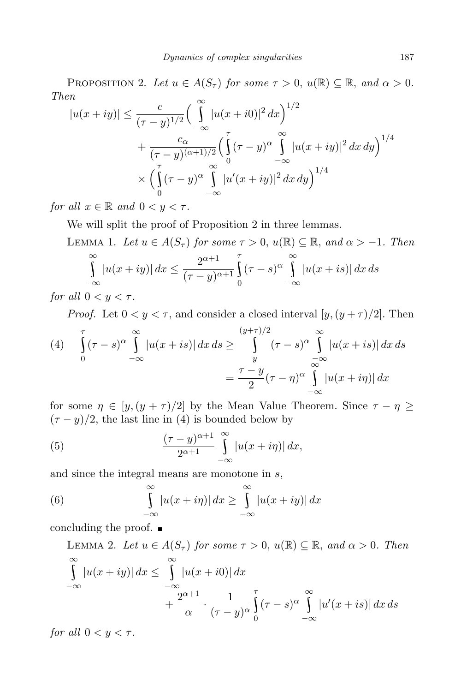PROPOSITION 2. Let  $u \in A(S_{\tau})$  for some  $\tau > 0$ ,  $u(\mathbb{R}) \subseteq \mathbb{R}$ , and  $\alpha > 0$ . *Then*

$$
|u(x+iy)| \leq \frac{c}{(\tau-y)^{1/2}} \Big(\int_{-\infty}^{\infty} |u(x+io)|^2 dx\Big)^{1/2}
$$
  
+ 
$$
\frac{c_{\alpha}}{(\tau-y)^{(\alpha+1)/2}} \Big(\int_{0}^{\tau} (\tau-y)^{\alpha} \int_{-\infty}^{\infty} |u(x+iy)|^2 dx dy\Big)^{1/4}
$$
  
\$\times \left(\int\_{0}^{\tau} (\tau-y)^{\alpha} \int\_{-\infty}^{\infty} |u'(x+iy)|^2 dx dy\right)^{1/4}\$

*for all*  $x \in \mathbb{R}$  *and*  $0 < y < \tau$ *.* 

We will split the proof of Proposition 2 in three lemmas.

LEMMA 1. Let  $u \in A(S_\tau)$  for some  $\tau > 0$ ,  $u(\mathbb{R}) \subset \mathbb{R}$ , and  $\alpha > -1$ . Then *∞ −∞*  $|u(x + iy)| dx \leq \frac{2^{\alpha+1}}{(\tau - u)^{\alpha}}$  $(\tau - y)^{\alpha+1}$ *τ*  $\boldsymbol{0}$  $(\tau - s)^{\alpha} \int u(x)$ *−∞*  $|u(x+is)| dx ds$ 

*for* all  $0 < y < \tau$ .

*Proof.* Let  $0 < y < \tau$ , and consider a closed interval  $[y, (y + \tau)/2]$ . Then

(4) 
$$
\int_{0}^{\tau} (\tau - s)^{\alpha} \int_{-\infty}^{\infty} |u(x + is)| dx ds \geq \int_{y}^{(y+\tau)/2} (\tau - s)^{\alpha} \int_{-\infty}^{\infty} |u(x + is)| dx ds
$$

$$
= \frac{\tau - y}{2} (\tau - \eta)^{\alpha} \int_{-\infty}^{\infty} |u(x + i\eta)| dx
$$

for some  $\eta \in [y, (y + \tau)/2]$  by the Mean Value Theorem. Since  $\tau - \eta \ge$  $(\tau - y)/2$ , the last line in (4) is bounded below by

(5) 
$$
\frac{(\tau - y)^{\alpha + 1}}{2^{\alpha + 1}} \int_{-\infty}^{\infty} |u(x + i\eta)| dx,
$$

and since the integral means are monotone in *s*,

(6) 
$$
\int_{-\infty}^{\infty} |u(x+i\eta)| dx \geq \int_{-\infty}^{\infty} |u(x+iy)| dx
$$

concluding the proof.

LEMMA 2. Let  $u \in A(S_\tau)$  for some  $\tau > 0$ ,  $u(\mathbb{R}) \subseteq \mathbb{R}$ , and  $\alpha > 0$ . Then *∞ −∞ |u*(*x* + *iy*)*| dx ≤ ∞ −∞*  $|u(x+i0)| dx$  $+\frac{2^{\alpha+1}}{2}$ *α ·* 1  $(\tau - y)^{\alpha}$ *τ* 0  $(\tau - s)^{\alpha} \int_{0}^{\infty} |u'(x)|^2 dx$ *−∞*  $|u'(x + is)| dx ds$ 

*for all*  $0 < y < \tau$ *.*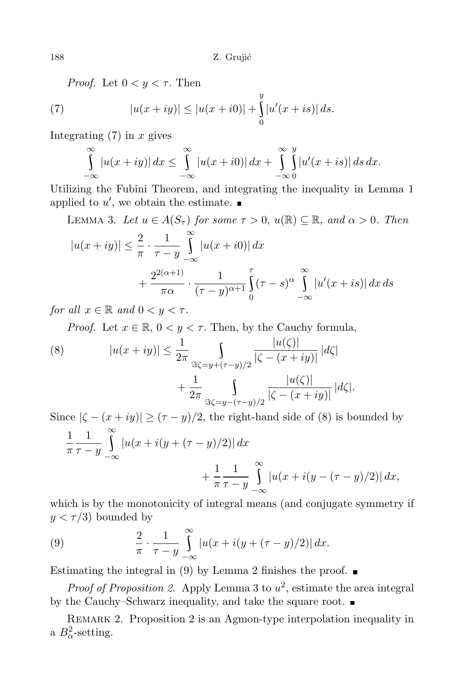*Proof.* Let  $0 < y < \tau$ . Then

(7) 
$$
|u(x+iy)| \le |u(x+ i0)| + \int_{0}^{y} |u'(x+is)| ds.
$$

Integrating (7) in *x* gives

$$
\int_{-\infty}^{\infty} |u(x+iy)| dx \leq \int_{-\infty}^{\infty} |u(x+io)| dx + \int_{-\infty}^{\infty} \int_{0}^{y} |u'(x+is)| ds dx.
$$

Utilizing the Fubini Theorem, and integrating the inequality in Lemma 1 applied to  $u'$ , we obtain the estimate.

LEMMA 3. Let 
$$
u \in A(S_{\tau})
$$
 for some  $\tau > 0$ ,  $u(\mathbb{R}) \subseteq \mathbb{R}$ , and  $\alpha > 0$ . Then  
\n
$$
|u(x+iy)| \leq \frac{2}{\pi} \cdot \frac{1}{\tau - y} \int_{-\infty}^{\infty} |u(x+io)| dx + \frac{2^{2(\alpha+1)}}{\pi \alpha} \cdot \frac{1}{(\tau - y)^{\alpha+1}} \int_{0}^{\tau} (\tau - s)^{\alpha} \int_{-\infty}^{\infty} |u'(x+is)| dx ds
$$

*for all*  $x \in \mathbb{R}$  *and*  $0 \leq y \leq \tau$ *.* 

*Proof.* Let  $x \in \mathbb{R}$ ,  $0 \le y \le \tau$ . Then, by the Cauchy formula,

(8) 
$$
|u(x+iy)| \leq \frac{1}{2\pi} \int_{\Im \zeta = y + (\tau - y)/2} \frac{|u(\zeta)|}{|\zeta - (x+iy)|} |d\zeta| + \frac{1}{2\pi} \int_{\Im \zeta = y - (\tau - y)/2} \frac{|u(\zeta)|}{|\zeta - (x+iy)|} |d\zeta|.
$$

Since  $|\zeta - (x + iy)| \ge (\tau - y)/2$ , the right-hand side of (8) is bounded by

$$
\frac{1}{\pi} \frac{1}{\tau - y} \int_{-\infty}^{\infty} |u(x + i(y + (\tau - y)/2))| dx + \frac{1}{\pi} \frac{1}{\tau - y} \int_{-\infty}^{\infty} |u(x + i(y - (\tau - y)/2))| dx,
$$

which is by the monotonicity of integral means (and conjugate symmetry if  $y < \tau/3$ ) bounded by

(9) 
$$
\frac{2}{\pi} \cdot \frac{1}{\tau - y} \int_{-\infty}^{\infty} |u(x + i(y + (\tau - y)/2))| dx.
$$

Estimating the integral in (9) by Lemma 2 finishes the proof.  $\blacksquare$ 

*Proof of Proposition 2.* Apply Lemma 3 to  $u^2$ , estimate the area integral by the Cauchy–Schwarz inequality, and take the square root.

REMARK 2. Proposition 2 is an Agmon-type interpolation inequality in a  $B^2_{\alpha}$ -setting.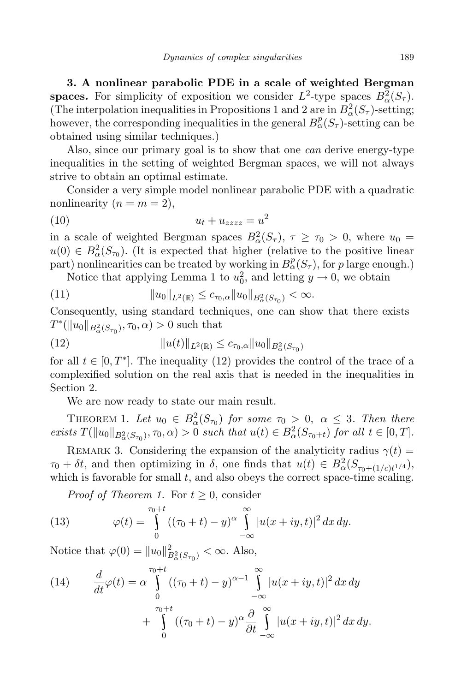**3. A nonlinear parabolic PDE in a scale of weighted Bergman spaces.** For simplicity of exposition we consider  $L^2$ -type spaces  $B^2_\alpha(S_\tau)$ . (The interpolation inequalities in Propositions 1 and 2 are in  $B^2_\alpha(S_\tau)$ -setting; however, the corresponding inequalities in the general  $B^p_\alpha(S_\tau)$ -setting can be obtained using similar techniques.)

Also, since our primary goal is to show that one *can* derive energy-type inequalities in the setting of weighted Bergman spaces, we will not always strive to obtain an optimal estimate.

Consider a very simple model nonlinear parabolic PDE with a quadratic nonlinearity  $(n = m = 2)$ ,

$$
(10) \t\t\t u_t + u_{zzzz} = u^2
$$

in a scale of weighted Bergman spaces  $B_{\alpha}^{2}(S_{\tau}), \tau \geq \tau_{0} > 0$ , where  $u_{0} =$  $u(0) \in B^2_\alpha(S_{\tau_0})$ . (It is expected that higher (relative to the positive linear) part) nonlinearities can be treated by working in  $B^p_\alpha(S_\tau)$ , for *p* large enough.)

Notice that applying Lemma 1 to  $u_0^2$ , and letting  $y \to 0$ , we obtain

(11) 
$$
||u_0||_{L^2(\mathbb{R})} \leq c_{\tau_0,\alpha}||u_0||_{B^2_{\alpha}(S_{\tau_0})} < \infty.
$$

Consequently, using standard techniques, one can show that there exists  $T^*$ ( $\|u_0\|_{B^2_{\alpha}(S_{\tau_0})}, \tau_0, \alpha) > 0$  such that

(12) 
$$
||u(t)||_{L^2(\mathbb{R})} \leq c_{\tau_0,\alpha}||u_0||_{B^2_{\alpha}(S_{\tau_0})}
$$

for all  $t \in [0, T^*]$ . The inequality (12) provides the control of the trace of a complexified solution on the real axis that is needed in the inequalities in Section 2.

We are now ready to state our main result.

THEOREM 1. Let  $u_0 \in B^2_\alpha(S_{\tau_0})$  for some  $\tau_0 > 0$ ,  $\alpha \leq 3$ . Then there exists  $T(\|u_0\|_{B^2_{\alpha}(S_{\tau_0})}, \tau_0, \alpha) > 0$  such that  $u(t) \in B^2_{\alpha}(S_{\tau_0+t})$  for all  $t \in [0, T]$ .

REMARK 3. Considering the expansion of the analyticity radius  $\gamma(t)$  =  $\tau_0 + \delta t$ , and then optimizing in  $\delta$ , one finds that  $u(t) \in B^2_\alpha(S_{\tau_0+(1/c)t^{1/4}})$ , which is favorable for small *t*, and also obeys the correct space-time scaling.

*Proof of Theorem 1.* For  $t \geq 0$ , consider

(13) 
$$
\varphi(t) = \int_{0}^{\tau_0 + t} ((\tau_0 + t) - y)^{\alpha} \int_{-\infty}^{\infty} |u(x + iy, t)|^2 dx dy.
$$

Notice that  $\varphi(0) = ||u_0||^2_{B^2_{\alpha}(S_{\tau_0})} < \infty$ . Also,

(14) 
$$
\frac{d}{dt}\varphi(t) = \alpha \int_{0}^{\tau_0+t} ((\tau_0+t) - y)^{\alpha-1} \int_{-\infty}^{\infty} |u(x+iy,t)|^2 dx dy
$$

$$
+ \int_{0}^{\tau_0+t} ((\tau_0+t) - y)^{\alpha} \frac{\partial}{\partial t} \int_{-\infty}^{\infty} |u(x+iy,t)|^2 dx dy.
$$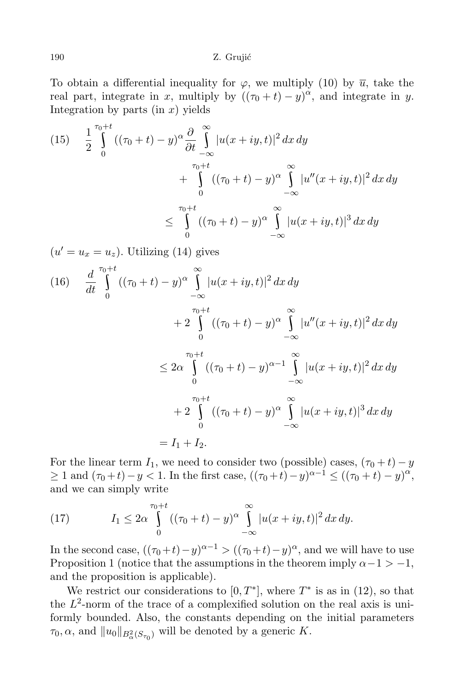To obtain a differential inequality for  $\varphi$ , we multiply (10) by  $\overline{u}$ , take the real part, integrate in *x*, multiply by  $((\tau_0 + t) - y)^\alpha$ , and integrate in *y*. Integration by parts  $(in x)$  yields

(15) 
$$
\frac{1}{2} \int_{0}^{\tau_0+t} ((\tau_0+t)-y)^{\alpha} \frac{\partial}{\partial t} \int_{-\infty}^{\infty} |u(x+iy,t)|^2 dx dy
$$
  
+ 
$$
\int_{0}^{\tau_0+t} ((\tau_0+t)-y)^{\alpha} \int_{-\infty}^{\infty} |u''(x+iy,t)|^2 dx dy
$$
  

$$
\leq \int_{0}^{\tau_0+t} ((\tau_0+t)-y)^{\alpha} \int_{-\infty}^{\infty} |u(x+iy,t)|^3 dx dy
$$

 $(u' = u_x = u_z)$ . Utilizing (14) gives

$$
(16) \quad \frac{d}{dt} \int_{0}^{\tau_{0}+t} ((\tau_{0}+t)-y)^{\alpha} \int_{-\infty}^{\infty} |u(x+iy,t)|^{2} dx dy
$$
  

$$
+ 2 \int_{0}^{\tau_{0}+t} ((\tau_{0}+t)-y)^{\alpha} \int_{-\infty}^{\infty} |u''(x+iy,t)|^{2} dx dy
$$
  

$$
\leq 2\alpha \int_{0}^{\tau_{0}+t} ((\tau_{0}+t)-y)^{\alpha-1} \int_{-\infty}^{\infty} |u(x+iy,t)|^{2} dx dy
$$
  

$$
+ 2 \int_{0}^{\tau_{0}+t} ((\tau_{0}+t)-y)^{\alpha} \int_{-\infty}^{\infty} |u(x+iy,t)|^{3} dx dy
$$
  

$$
= I_{1} + I_{2}.
$$

For the linear term  $I_1$ , we need to consider two (possible) cases,  $(\tau_0 + t) - y$ *≥* 1 and  $(τ_0 + t) - y < 1$ . In the first case,  $((τ_0 + t) - y)^{\alpha - 1} \le ((τ_0 + t) - y)^{\alpha}$ , and we can simply write

(17) 
$$
I_1 \leq 2\alpha \int_{0}^{\tau_0+t} ((\tau_0+t)-y)^{\alpha} \int_{-\infty}^{\infty} |u(x+iy,t)|^2 dx dy.
$$

In the second case,  $((\tau_0+t)-y)^{\alpha-1} > ((\tau_0+t)-y)^{\alpha}$ , and we will have to use Proposition 1 (notice that the assumptions in the theorem imply  $\alpha - 1 > -1$ , and the proposition is applicable).

We restrict our considerations to  $[0, T^*]$ , where  $T^*$  is as in  $(12)$ , so that the  $L^2$ -norm of the trace of a complexified solution on the real axis is uniformly bounded. Also, the constants depending on the initial parameters *τ*<sub>0</sub>,  $\alpha$ , and  $||u_0||_{B^2_{\alpha}(S_{\tau_0})}$  will be denoted by a generic *K*.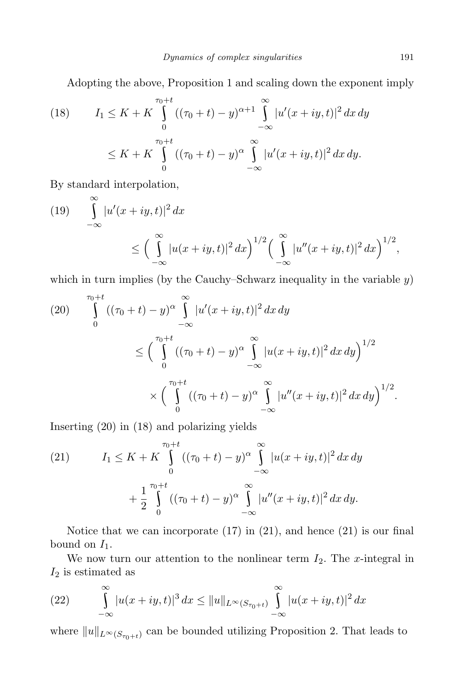Adopting the above, Proposition 1 and scaling down the exponent imply

(18) 
$$
I_1 \leq K + K \int_{0}^{\tau_0 + t} ((\tau_0 + t) - y)^{\alpha + 1} \int_{-\infty}^{\infty} |u'(x + iy, t)|^2 dx dy
$$

$$
\leq K + K \int_{0}^{\tau_0 + t} ((\tau_0 + t) - y)^{\alpha} \int_{-\infty}^{\infty} |u'(x + iy, t)|^2 dx dy.
$$

By standard interpolation,

(19) 
$$
\int_{-\infty}^{\infty} |u'(x+iy,t)|^2 dx
$$
  
\n
$$
\leq \left(\int_{-\infty}^{\infty} |u(x+iy,t)|^2 dx\right)^{1/2} \left(\int_{-\infty}^{\infty} |u''(x+iy,t)|^2 dx\right)^{1/2},
$$

which in turn implies (by the Cauchy–Schwarz inequality in the variable *y*)

(20) 
$$
\int_{0}^{\tau_{0}+t} ((\tau_{0}+t)-y)^{\alpha} \int_{-\infty}^{\infty} |u'(x+iy,t)|^{2} dx dy
$$
  

$$
\leq \left(\int_{0}^{\tau_{0}+t} ((\tau_{0}+t)-y)^{\alpha} \int_{-\infty}^{\infty} |u(x+iy,t)|^{2} dx dy\right)^{1/2}
$$
  

$$
\times \left(\int_{0}^{\tau_{0}+t} ((\tau_{0}+t)-y)^{\alpha} \int_{-\infty}^{\infty} |u''(x+iy,t)|^{2} dx dy\right)^{1/2}.
$$

Inserting (20) in (18) and polarizing yields

(21) 
$$
I_1 \leq K + K \int_{0}^{\tau_0 + t} ((\tau_0 + t) - y)^{\alpha} \int_{-\infty}^{\infty} |u(x + iy, t)|^2 dx dy + \frac{1}{2} \int_{0}^{\tau_0 + t} ((\tau_0 + t) - y)^{\alpha} \int_{-\infty}^{\infty} |u''(x + iy, t)|^2 dx dy.
$$

Notice that we can incorporate  $(17)$  in  $(21)$ , and hence  $(21)$  is our final bound on  $I_1$ .

We now turn our attention to the nonlinear term  $I_2$ . The *x*-integral in *I*<sup>2</sup> is estimated as

(22) 
$$
\int_{-\infty}^{\infty} |u(x+iy,t)|^3 dx \le ||u||_{L^{\infty}(S_{\tau_0+t})} \int_{-\infty}^{\infty} |u(x+iy,t)|^2 dx
$$

where  $||u||_{L^{\infty}(S_{\tau_0+t})}$  can be bounded utilizing Proposition 2. That leads to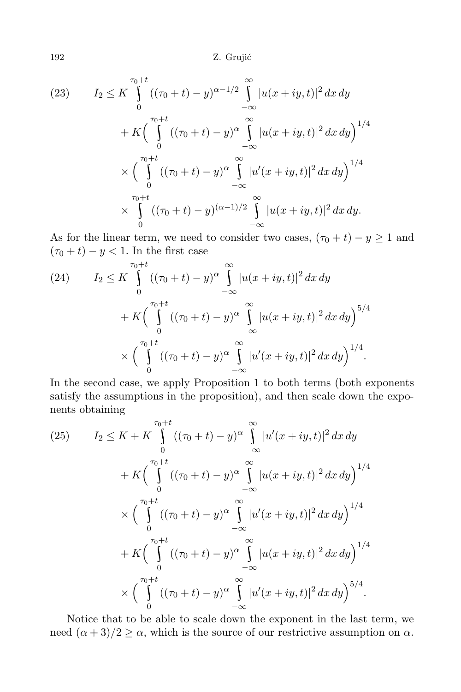192 Z. Grujić

(23) 
$$
I_2 \leq K \int_{0}^{\tau_0+t} ((\tau_0+t)-y)^{\alpha-1/2} \int_{-\infty}^{\infty} |u(x+iy,t)|^2 dx dy
$$

$$
+ K \Big( \int_{0}^{\tau_0+t} ((\tau_0+t)-y)^{\alpha} \int_{-\infty}^{\infty} |u(x+iy,t)|^2 dx dy \Big)^{1/4}
$$

$$
\times \Big( \int_{0}^{\tau_0+t} ((\tau_0+t)-y)^{\alpha} \int_{-\infty}^{\infty} |u'(x+iy,t)|^2 dx dy \Big)^{1/4}
$$

$$
\times \int_{0}^{\tau_0+t} ((\tau_0+t)-y)^{(\alpha-1)/2} \int_{-\infty}^{\infty} |u(x+iy,t)|^2 dx dy.
$$

As for the linear term, we need to consider two cases,  $(\tau_0 + t) - y \ge 1$  and  $(\tau_0 + t) - y < 1$ . In the first case

(24) 
$$
I_2 \leq K \int_{0}^{\tau_0+t} ((\tau_0+t)-y)^{\alpha} \int_{-\infty}^{\infty} |u(x+iy,t)|^2 dx dy
$$

$$
+ K \Big( \int_{0}^{\tau_0+t} ((\tau_0+t)-y)^{\alpha} \int_{-\infty}^{\infty} |u(x+iy,t)|^2 dx dy \Big)^{5/4}
$$

$$
\times \Big( \int_{0}^{\tau_0+t} ((\tau_0+t)-y)^{\alpha} \int_{-\infty}^{\infty} |u'(x+iy,t)|^2 dx dy \Big)^{1/4}.
$$

In the second case, we apply Proposition 1 to both terms (both exponents satisfy the assumptions in the proposition), and then scale down the exponents obtaining

$$
(25) \qquad I_2 \leq K + K \int_{0}^{\tau_0 + t} ((\tau_0 + t) - y)^{\alpha} \int_{-\infty}^{\infty} |u'(x + iy, t)|^2 dx dy
$$
  
+  $K \Biggl( \int_{0}^{\tau_0 + t} ((\tau_0 + t) - y)^{\alpha} \int_{-\infty}^{\infty} |u(x + iy, t)|^2 dx dy \Biggr)^{1/4}$   
+  $K \Biggl( \int_{0}^{\tau_0 + t} ((\tau_0 + t) - y)^{\alpha} \int_{-\infty}^{\infty} |u'(x + iy, t)|^2 dx dy \Biggr)^{1/4}$   
+  $K \Biggl( \int_{0}^{\tau_0 + t} ((\tau_0 + t) - y)^{\alpha} \int_{-\infty}^{\infty} |u(x + iy, t)|^2 dx dy \Biggr)^{1/4}$   
+  $K \Biggl( \int_{0}^{\tau_0 + t} ((\tau_0 + t) - y)^{\alpha} \int_{-\infty}^{\infty} |u'(x + iy, t)|^2 dx dy \Biggr)^{5/4}.$ 

Notice that to be able to scale down the exponent in the last term, we need  $(\alpha + 3)/2 \ge \alpha$ , which is the source of our restrictive assumption on  $\alpha$ .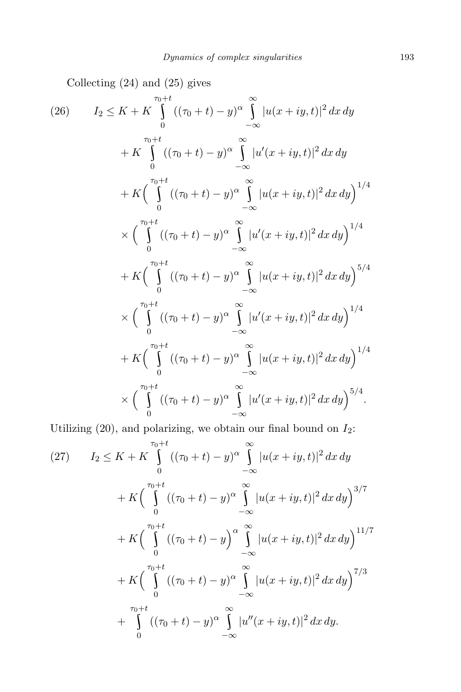Collecting (24) and (25) gives

$$
(26) \qquad I_2 \leq K + K \int_{0}^{\tau_0 + t} ((\tau_0 + t) - y)^{\alpha} \int_{-\infty}^{\infty} |u(x + iy, t)|^2 dx dy
$$
  
+  $K \int_{0}^{\tau_0 + t} ((\tau_0 + t) - y)^{\alpha} \int_{-\infty}^{\infty} |u'(x + iy, t)|^2 dx dy$   
+  $K \Biggl( \int_{0}^{\tau_0 + t} ((\tau_0 + t) - y)^{\alpha} \int_{-\infty}^{\infty} |u(x + iy, t)|^2 dx dy \Biggr)^{1/4}$   
 $\times \Biggl( \int_{0}^{\tau_0 + t} ((\tau_0 + t) - y)^{\alpha} \int_{-\infty}^{\infty} |u'(x + iy, t)|^2 dx dy \Biggr)^{1/4}$   
+  $K \Biggl( \int_{0}^{\tau_0 + t} ((\tau_0 + t) - y)^{\alpha} \int_{-\infty}^{\infty} |u(x + iy, t)|^2 dx dy \Biggr)^{5/4}$   
 $\times \Biggl( \int_{0}^{\tau_0 + t} ((\tau_0 + t) - y)^{\alpha} \int_{-\infty}^{\infty} |u'(x + iy, t)|^2 dx dy \Biggr)^{1/4}$   
+  $K \Biggl( \int_{0}^{\tau_0 + t} ((\tau_0 + t) - y)^{\alpha} \int_{-\infty}^{\infty} |u(x + iy, t)|^2 dx dy \Biggr)^{1/4}$   
 $\times \Biggl( \int_{0}^{\tau_0 + t} ((\tau_0 + t) - y)^{\alpha} \int_{-\infty}^{\infty} |u'(x + iy, t)|^2 dx dy \Biggr)^{5/4}.$ 

Utilizing  $(20)$ , and polarizing, we obtain our final bound on  $I_2$ :

$$
(27) \qquad I_2 \le K + K \int_{0}^{\tau_0 + t} ((\tau_0 + t) - y)^{\alpha} \int_{-\infty}^{\infty} |u(x + iy, t)|^2 dx dy
$$
  
+  $K \Biggl( \int_{0}^{\tau_0 + t} ((\tau_0 + t) - y)^{\alpha} \int_{-\infty}^{\infty} |u(x + iy, t)|^2 dx dy \Biggr)^{3/7}$   
+  $K \Biggl( \int_{0}^{\tau_0 + t} ((\tau_0 + t) - y)^{\alpha} \int_{-\infty}^{\infty} |u(x + iy, t)|^2 dx dy \Biggr)^{11/7}$   
+  $K \Biggl( \int_{0}^{\tau_0 + t} ((\tau_0 + t) - y)^{\alpha} \int_{-\infty}^{\infty} |u(x + iy, t)|^2 dx dy \Biggr)^{7/3}$   
+  $\int_{0}^{\tau_0 + t} ((\tau_0 + t) - y)^{\alpha} \int_{-\infty}^{\infty} |u''(x + iy, t)|^2 dx dy.$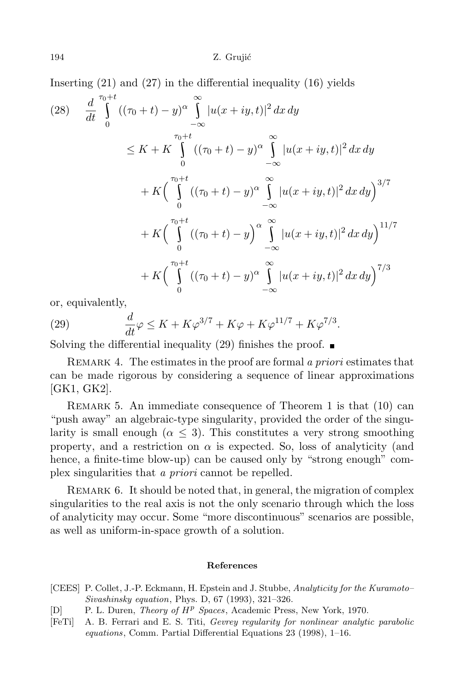Inserting (21) and (27) in the differential inequality (16) yields

$$
(28) \frac{d}{dt} \int_{0}^{\tau_{0}+t} ((\tau_{0}+t)-y)^{\alpha} \int_{-\infty}^{\infty} |u(x+iy,t)|^{2} dx dy
$$
  
\n
$$
\leq K + K \int_{0}^{\tau_{0}+t} ((\tau_{0}+t)-y)^{\alpha} \int_{-\infty}^{\infty} |u(x+iy,t)|^{2} dx dy
$$
  
\n
$$
+ K \Biggl( \int_{0}^{\tau_{0}+t} ((\tau_{0}+t)-y)^{\alpha} \int_{-\infty}^{\infty} |u(x+iy,t)|^{2} dx dy \Biggr)^{3/7}
$$
  
\n
$$
+ K \Biggl( \int_{0}^{\tau_{0}+t} ((\tau_{0}+t)-y)^{\alpha} \int_{-\infty}^{\infty} |u(x+iy,t)|^{2} dx dy \Biggr)^{11/7}
$$
  
\n
$$
+ K \Biggl( \int_{0}^{\tau_{0}+t} ((\tau_{0}+t)-y)^{\alpha} \int_{-\infty}^{\infty} |u(x+iy,t)|^{2} dx dy \Biggr)^{7/3}
$$

or, equivalently,

(29) 
$$
\frac{d}{dt}\varphi \le K + K\varphi^{3/7} + K\varphi + K\varphi^{11/7} + K\varphi^{7/3}.
$$

Solving the differential inequality (29) finishes the proof.  $\blacksquare$ 

Remark 4. The estimates in the proof are formal *a priori* estimates that can be made rigorous by considering a sequence of linear approximations [GK1, GK2].

Remark 5. An immediate consequence of Theorem 1 is that (10) can "push away" an algebraic-type singularity, provided the order of the singularity is small enough ( $\alpha \leq 3$ ). This constitutes a very strong smoothing property, and a restriction on  $\alpha$  is expected. So, loss of analyticity (and hence, a finite-time blow-up) can be caused only by "strong enough" complex singularities that *a priori* cannot be repelled.

REMARK 6. It should be noted that, in general, the migration of complex singularities to the real axis is not the only scenario through which the loss of analyticity may occur. Some "more discontinuous" scenarios are possible, as well as uniform-in-space growth of a solution.

## **References**

- [CEES] P. Collet, J.-P. Eckmann, H. Epstein and J. Stubbe, *Analyticity for the Kuramoto– Sivashinsky equation*, Phys. D, 67 (1993), 321–326.
- [D] P. L. Duren, *Theory of H<sup>p</sup> Spaces*, Academic Press, New York, 1970.
- [FeTi] A. B. Ferrari and E. S. Titi, *Gevrey regularity for nonlinear analytic parabolic equations*, Comm. Partial Differential Equations 23 (1998), 1–16.